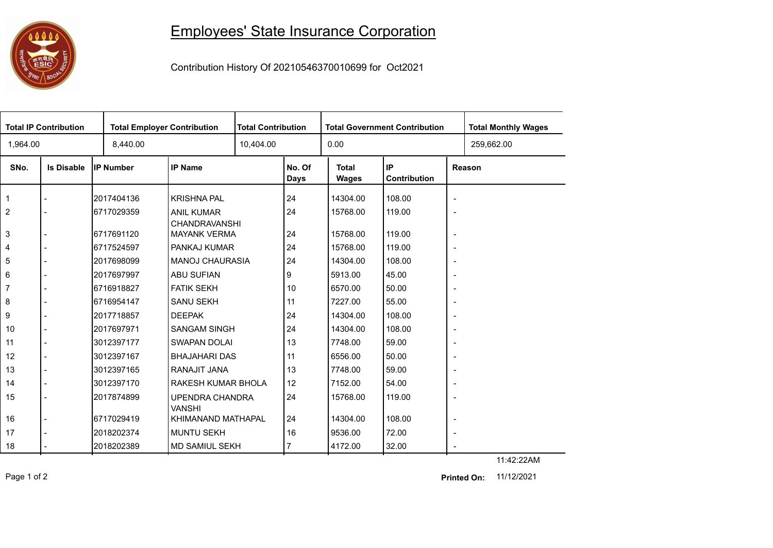## **1000**

## Employees' State Insurance Corporation

Contribution History Of 20210546370010699 for Oct2021

| 0.00<br>1,964.00<br>8,440.00<br>10,404.00                                                                                                                | 259,662.00 |
|----------------------------------------------------------------------------------------------------------------------------------------------------------|------------|
| IP<br><b>IP Name</b><br>No. Of<br><b>Total</b><br>SNo.<br><b>Is Disable</b><br><b>IP Number</b><br>Reason<br><b>Contribution</b><br>Days<br><b>Wages</b> |            |
| 24<br>2017404136<br><b>KRISHNA PAL</b><br>14304.00<br>108.00<br>1<br>$\overline{\phantom{a}}$                                                            |            |
| $\overline{2}$<br>24<br>119.00<br>6717029359<br>15768.00<br><b>ANIL KUMAR</b><br>$\overline{\phantom{a}}$<br>CHANDRAVANSHI                               |            |
| 24<br>3<br>6717691120<br><b>MAYANK VERMA</b><br>15768.00<br>119.00<br>$\overline{\phantom{a}}$                                                           |            |
| 24<br>119.00<br>PANKAJ KUMAR<br>15768.00<br>4<br>6717524597<br>$\overline{\phantom{a}}$                                                                  |            |
| 5<br><b>MANOJ CHAURASIA</b><br>24<br>108.00<br>2017698099<br>14304.00<br>$\overline{\phantom{a}}$                                                        |            |
| 6<br><b>ABU SUFIAN</b><br>9<br>5913.00<br>45.00<br>2017697997<br>$\overline{\phantom{a}}$                                                                |            |
| 10<br><b>FATIK SEKH</b><br>6570.00<br>50.00<br>7<br>16716918827<br>$\overline{\phantom{a}}$                                                              |            |
| 11<br>6716954147<br><b>SANU SEKH</b><br>7227.00<br>55.00<br>8<br>$\overline{\phantom{a}}$                                                                |            |
| 9<br><b>DEEPAK</b><br>24<br>2017718857<br>14304.00<br>108.00<br>$\blacksquare$                                                                           |            |
| <b>SANGAM SINGH</b><br>24<br>14304.00<br>108.00<br>10<br>2017697971<br>$\overline{\phantom{a}}$                                                          |            |
| <b>SWAPAN DOLAI</b><br>13<br>7748.00<br>59.00<br>11<br>3012397177<br>$\overline{\phantom{a}}$                                                            |            |
| 12<br><b>BHAJAHARI DAS</b><br>11<br>50.00<br>3012397167<br>6556.00<br>$\overline{\phantom{a}}$                                                           |            |
| 13<br>RANAJIT JANA<br>13<br>3012397165<br>7748.00<br>59.00<br>$\overline{\phantom{a}}$                                                                   |            |
| 12<br>RAKESH KUMAR BHOLA<br>7152.00<br>54.00<br>14<br>3012397170<br>$\overline{\phantom{a}}$                                                             |            |
| 24<br>15<br>2017874899<br>15768.00<br>119.00<br>UPENDRA CHANDRA<br>$\overline{\phantom{a}}$<br><b>VANSHI</b>                                             |            |
| 16<br>KHIMANAND MATHAPAL<br>24<br>108.00<br>16717029419<br>14304.00<br>$\overline{\phantom{a}}$                                                          |            |
| 16<br>17<br><b>MUNTU SEKH</b><br>9536.00<br>72.00<br>2018202374<br>$\overline{\phantom{a}}$                                                              |            |
| 4172.00<br>2018202389<br>MD SAMIUL SEKH<br>7<br>32.00<br>18                                                                                              |            |

Page 1 of 2 **Printed On:** 11/12/2021